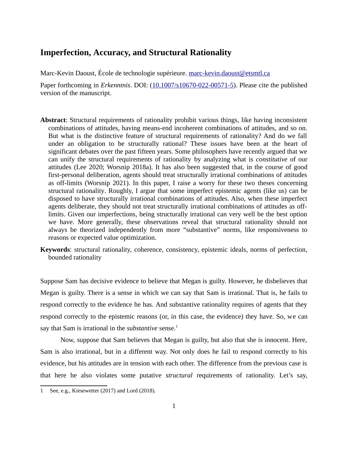## **Imperfection, Accuracy, and Structural Rationality**

Marc-Kevin Daoust, École de technologie supérieure. [marc-kevin.daoust@etsmtl.ca](mailto:marc-kevin.daoust@etsmtl.ca)

Paper forthcoming in *Erkenntnis*. DOI: ([10.1007/s10670-022-00571-5](http://doi.org/10.1007/s10670-022-00571-5)). Please cite the published version of the manuscript.

- **Abstract**: Structural requirements of rationality prohibit various things, like having inconsistent combinations of attitudes, having means-end incoherent combinations of attitudes, and so on. But what is the distinctive feature of structural requirements of rationality? And do we fall under an obligation to be structurally rational? These issues have been at the heart of significant debates over the past fifteen years. Some philosophers have recently argued that we can unify the structural requirements of rationality by analyzing what is *constitutive* of our attitudes (Lee 2020; Worsnip 2018a). It has also been suggested that, in the course of good first-personal deliberation, agents should treat structurally irrational combinations of attitudes as off-limits (Worsnip 2021). In this paper, I raise a worry for these two theses concerning structural rationality. Roughly, I argue that some imperfect epistemic agents (like us) can be disposed to have structurally irrational combinations of attitudes. Also, when these imperfect agents deliberate, they should not treat structurally irrational combinations of attitudes as offlimits. Given our imperfections, being structurally irrational can very well be the best option we have. More generally, these observations reveal that structural rationality should not always be theorized independently from more "substantive" norms, like responsiveness to reasons or expected value optimization.
- **Keywords**: structural rationality, coherence, consistency, epistemic ideals, norms of perfection, bounded rationality

Suppose Sam has decisive evidence to believe that Megan is guilty. However, he disbelieves that Megan is guilty. There is a sense in which we can say that Sam is irrational. That is, he fails to respond correctly to the evidence he has. And substantive rationality requires of agents that they respond correctly to the epistemic reasons (or, in this case, the evidence) they have. So, we can say that Sam is irrational in the *substantive* sense.<sup>[1](#page-0-0)</sup>

Now, suppose that Sam believes that Megan is guilty, but also that she is innocent. Here, Sam is also irrational, but in a different way. Not only does he fail to respond correctly to his evidence, but his attitudes are in tension with each other. The difference from the previous case is that here he also violates some putative *structural* requirements of rationality. Let's say,

<span id="page-0-0"></span><sup>1</sup> See, e.g., Kiesewetter (2017) and Lord (2018).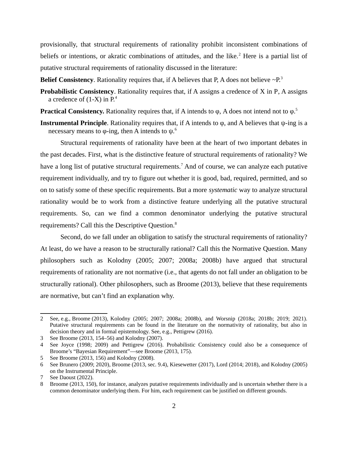provisionally, that structural requirements of rationality prohibit inconsistent combinations of beliefs or intentions, or akratic combinations of attitudes, and the like.<sup>[2](#page-1-0)</sup> Here is a partial list of putative structural requirements of rationality discussed in the literature:

**Belief Consistency.** Rationality requires that, if A believes that P, A does not believe  $\sim P<sup>3</sup>$  $\sim P<sup>3</sup>$  $\sim P<sup>3</sup>$ 

**Probabilistic Consistency**. Rationality requires that, if A assigns a credence of X in P, A assigns a credence of  $(1-X)$  in  $P<sup>4</sup>$  $P<sup>4</sup>$  $P<sup>4</sup>$ .

**Practical Consistency.** Rationality requires that, if A intends to φ, A does not intend not to φ.<sup>[5](#page-1-3)</sup>

**Instrumental Principle**. Rationality requires that, if A intends to φ, and A believes that ψ-ing is a necessary means to φ-ing, then A intends to  $ψ$ .<sup>[6](#page-1-4)</sup>

Structural requirements of rationality have been at the heart of two important debates in the past decades. First, what is the distinctive feature of structural requirements of rationality? We have a long list of putative structural requirements.<sup>[7](#page-1-5)</sup> And of course, we can analyze each putative requirement individually, and try to figure out whether it is good, bad, required, permitted, and so on to satisfy some of these specific requirements. But a more *systematic* way to analyze structural rationality would be to work from a distinctive feature underlying all the putative structural requirements. So, can we find a common denominator underlying the putative structural requirements? Call this the Descriptive Question.<sup>[8](#page-1-6)</sup>

Second, do we fall under an obligation to satisfy the structural requirements of rationality? At least, do we have a reason to be structurally rational? Call this the Normative Question. Many philosophers such as Kolodny (2005; 2007; 2008a; 2008b) have argued that structural requirements of rationality are not normative (i.e., that agents do not fall under an obligation to be structurally rational). Other philosophers, such as Broome (2013), believe that these requirements are normative, but can't find an explanation why.

<span id="page-1-0"></span><sup>2</sup> See, e.g., Broome (2013), Kolodny (2005; 2007; 2008a; 2008b), and Worsnip (2018a; 2018b; 2019; 2021). Putative structural requirements can be found in the literature on the normativity of rationality, but also in decision theory and in formal epistemology. See, e.g., Pettigrew (2016).

<span id="page-1-1"></span><sup>3</sup> See Broome (2013, 154–56) and Kolodny (2007).

<span id="page-1-2"></span><sup>4</sup> See Joyce (1998; 2009) and Pettigrew (2016). Probabilistic Consistency could also be a consequence of Broome's "Bayesian Requirement"—see Broome (2013, 175).

<span id="page-1-3"></span><sup>5</sup> See Broome (2013, 156) and Kolodny (2008).

<span id="page-1-4"></span><sup>6</sup> See Brunero (2009; 2020), Broome (2013, sec. 9.4), Kiesewetter (2017), Lord (2014; 2018), and Kolodny (2005) on the Instrumental Principle.

<span id="page-1-5"></span><sup>7</sup> See Daoust (2022).

<span id="page-1-6"></span><sup>8</sup> Broome (2013, 150), for instance, analyzes putative requirements individually and is uncertain whether there is a common denominator underlying them. For him, each requirement can be justified on different grounds.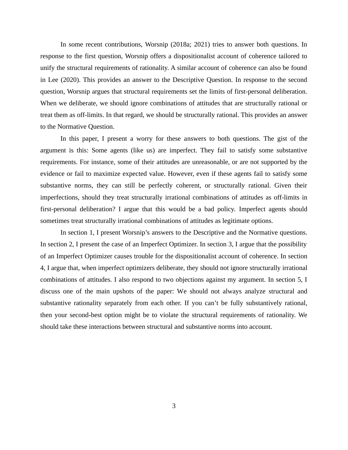In some recent contributions, Worsnip (2018a; 2021) tries to answer both questions. In response to the first question, Worsnip offers a dispositionalist account of coherence tailored to unify the structural requirements of rationality. A similar account of coherence can also be found in Lee (2020). This provides an answer to the Descriptive Question. In response to the second question, Worsnip argues that structural requirements set the limits of first-personal deliberation. When we deliberate, we should ignore combinations of attitudes that are structurally rational or treat them as off-limits. In that regard, we should be structurally rational. This provides an answer to the Normative Question.

In this paper, I present a worry for these answers to both questions. The gist of the argument is this: Some agents (like us) are imperfect. They fail to satisfy some substantive requirements. For instance, some of their attitudes are unreasonable, or are not supported by the evidence or fail to maximize expected value. However, even if these agents fail to satisfy some substantive norms, they can still be perfectly coherent, or structurally rational. Given their imperfections, should they treat structurally irrational combinations of attitudes as off-limits in first-personal deliberation? I argue that this would be a bad policy. Imperfect agents should sometimes treat structurally irrational combinations of attitudes as legitimate options.

In section 1, I present Worsnip's answers to the Descriptive and the Normative questions. In section 2, I present the case of an Imperfect Optimizer. In section 3, I argue that the possibility of an Imperfect Optimizer causes trouble for the dispositionalist account of coherence. In section 4, I argue that, when imperfect optimizers deliberate, they should not ignore structurally irrational combinations of attitudes. I also respond to two objections against my argument. In section 5, I discuss one of the main upshots of the paper: We should not always analyze structural and substantive rationality separately from each other. If you can't be fully substantively rational, then your second-best option might be to violate the structural requirements of rationality. We should take these interactions between structural and substantive norms into account.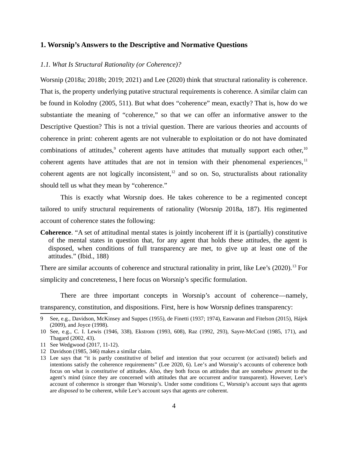## **1. Worsnip's Answers to the Descriptive and Normative Questions**

#### *1.1. What Is Structural Rationality (or Coherence)?*

Worsnip (2018a; 2018b; 2019; 2021) and Lee (2020) think that structural rationality is coherence. That is, the property underlying putative structural requirements is coherence. A similar claim can be found in Kolodny (2005, 511). But what does "coherence" mean, exactly? That is, how do we substantiate the meaning of "coherence," so that we can offer an informative answer to the Descriptive Question? This is not a trivial question. There are various theories and accounts of coherence in print: coherent agents are not vulnerable to exploitation or do not have dominated combinations of attitudes, $9$  coherent agents have attitudes that mutually support each other,  $10$ coherent agents have attitudes that are not in tension with their phenomenal experiences,  $11$ coherent agents are not logically inconsistent, $12$  and so on. So, structuralists about rationality should tell us what they mean by "coherence."

This is exactly what Worsnip does. He takes coherence to be a regimented concept tailored to unify structural requirements of rationality (Worsnip 2018a, 187). His regimented account of coherence states the following:

**Coherence**. "A set of attitudinal mental states is jointly incoherent iff it is (partially) constitutive of the mental states in question that, for any agent that holds these attitudes, the agent is disposed, when conditions of full transparency are met, to give up at least one of the attitudes." (Ibid., 188)

There are similar accounts of coherence and structural rationality in print, like Lee's (2020).<sup>[13](#page-3-4)</sup> For simplicity and concreteness, I here focus on Worsnip's specific formulation.

There are three important concepts in Worsnip's account of coherence—namely, transparency, constitution, and dispositions. First, here is how Worsnip defines transparency:

<span id="page-3-0"></span><sup>9</sup> See, e.g., Davidson, McKinsey and Suppes (1955), de Finetti (1937; 1974), Easwaran and Fitelson (2015), Hájek (2009), and Joyce (1998).

<span id="page-3-1"></span><sup>10</sup> See, e.g., C. I. Lewis (1946, 338), Ekstrom (1993, 608), Raz (1992, 293), Sayre-McCord (1985, 171), and Thagard (2002, 43).

<span id="page-3-2"></span><sup>11</sup> See Wedgwood (2017, 11-12).

<span id="page-3-3"></span><sup>12</sup> Davidson (1985, 346) makes a similar claim.

<span id="page-3-4"></span><sup>13</sup> Lee says that "it is partly constitutive of belief and intention that your occurrent (or activated) beliefs and intentions satisfy the coherence requirements" (Lee 2020, 6). Lee's and Worsnip's accounts of coherence both focus on what is *constitutive* of attitudes. Also, they both focus on attitudes that are somehow *present* to the agent's mind (since they are concerned with attitudes that are occurrent and/or transparent). However, Lee's account of coherence is stronger than Worsnip's. Under some conditions C, Worsnip's account says that agents are *disposed* to be coherent, while Lee's account says that agents *are* coherent.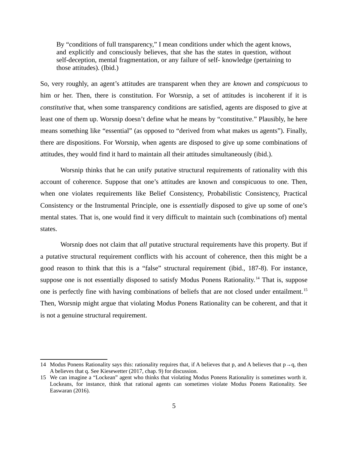By "conditions of full transparency," I mean conditions under which the agent knows, and explicitly and consciously believes, that she has the states in question, without self-deception, mental fragmentation, or any failure of self- knowledge (pertaining to those attitudes). (Ibid.)

So, very roughly, an agent's attitudes are transparent when they are *known* and *conspicuous* to him or her. Then, there is constitution. For Worsnip, a set of attitudes is incoherent if it is *constitutive* that, when some transparency conditions are satisfied, agents are disposed to give at least one of them up. Worsnip doesn't define what he means by "constitutive." Plausibly, he here means something like "essential" (as opposed to "derived from what makes us agents"). Finally, there are dispositions. For Worsnip, when agents are disposed to give up some combinations of attitudes, they would find it hard to maintain all their attitudes simultaneously (ibid.).

Worsnip thinks that he can unify putative structural requirements of rationality with this account of coherence. Suppose that one's attitudes are known and conspicuous to one. Then, when one violates requirements like Belief Consistency, Probabilistic Consistency, Practical Consistency or the Instrumental Principle, one is *essentially* disposed to give up some of one's mental states. That is, one would find it very difficult to maintain such (combinations of) mental states.

Worsnip does not claim that *all* putative structural requirements have this property. But if a putative structural requirement conflicts with his account of coherence, then this might be a good reason to think that this is a "false" structural requirement (ibid., 187-8). For instance, suppose one is not essentially disposed to satisfy Modus Ponens Rationality.<sup>[14](#page-4-0)</sup> That is, suppose one is perfectly fine with having combinations of beliefs that are not closed under entailment.<sup>[15](#page-4-1)</sup> Then, Worsnip might argue that violating Modus Ponens Rationality can be coherent, and that it is not a genuine structural requirement.

<span id="page-4-0"></span><sup>14</sup> Modus Ponens Rationality says this: rationality requires that, if A believes that p, and A believes that  $p \rightarrow q$ , then A believes that q. See Kiesewetter (2017, chap. 9) for discussion.

<span id="page-4-1"></span><sup>15</sup> We can imagine a "Lockean" agent who thinks that violating Modus Ponens Rationality is sometimes worth it. Lockeans, for instance, think that rational agents can sometimes violate Modus Ponens Rationality. See Easwaran (2016).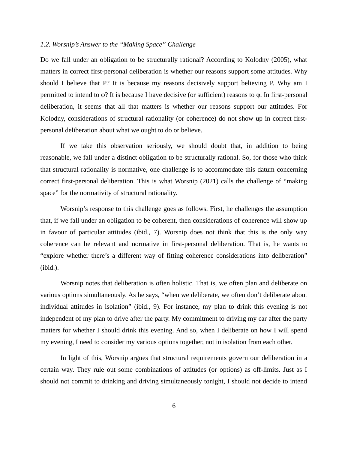## *1.2. Worsnip's Answer to the "Making Space" Challenge*

Do we fall under an obligation to be structurally rational? According to Kolodny (2005), what matters in correct first-personal deliberation is whether our reasons support some attitudes. Why should I believe that P? It is because my reasons decisively support believing P. Why am I permitted to intend to φ? It is because I have decisive (or sufficient) reasons to φ. In first-personal deliberation, it seems that all that matters is whether our reasons support our attitudes. For Kolodny, considerations of structural rationality (or coherence) do not show up in correct firstpersonal deliberation about what we ought to do or believe.

If we take this observation seriously, we should doubt that, in addition to being reasonable, we fall under a distinct obligation to be structurally rational. So, for those who think that structural rationality is normative, one challenge is to accommodate this datum concerning correct first-personal deliberation. This is what Worsnip (2021) calls the challenge of "making space" for the normativity of structural rationality.

Worsnip's response to this challenge goes as follows. First, he challenges the assumption that, if we fall under an obligation to be coherent, then considerations of coherence will show up in favour of particular attitudes (ibid., 7). Worsnip does not think that this is the only way coherence can be relevant and normative in first-personal deliberation. That is, he wants to "explore whether there's a different way of fitting coherence considerations into deliberation" (ibid.).

Worsnip notes that deliberation is often holistic. That is, we often plan and deliberate on various options simultaneously. As he says, "when we deliberate, we often don't deliberate about individual attitudes in isolation" (ibid., 9). For instance, my plan to drink this evening is not independent of my plan to drive after the party. My commitment to driving my car after the party matters for whether I should drink this evening. And so, when I deliberate on how I will spend my evening, I need to consider my various options together, not in isolation from each other.

In light of this, Worsnip argues that structural requirements govern our deliberation in a certain way. They rule out some combinations of attitudes (or options) as off-limits. Just as I should not commit to drinking and driving simultaneously tonight, I should not decide to intend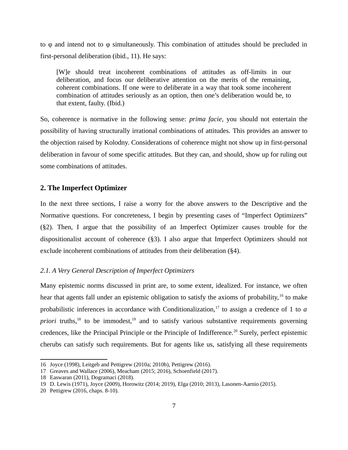to φ and intend not to φ simultaneously. This combination of attitudes should be precluded in first-personal deliberation (ibid., 11). He says:

[W]e should treat incoherent combinations of attitudes as off-limits in our deliberation, and focus our deliberative attention on the merits of the remaining, coherent combinations. If one were to deliberate in a way that took some incoherent combination of attitudes seriously as an option, then one's deliberation would be, to that extent, faulty. (Ibid.)

So, coherence is normative in the following sense: *prima facie*, you should not entertain the possibility of having structurally irrational combinations of attitudes. This provides an answer to the objection raised by Kolodny. Considerations of coherence might not show up in first-personal deliberation in favour of some specific attitudes. But they can, and should, show up for ruling out some combinations of attitudes.

## **2. The Imperfect Optimizer**

In the next three sections, I raise a worry for the above answers to the Descriptive and the Normative questions. For concreteness, I begin by presenting cases of "Imperfect Optimizers" (§2). Then, I argue that the possibility of an Imperfect Optimizer causes trouble for the dispositionalist account of coherence (§3). I also argue that Imperfect Optimizers should not exclude incoherent combinations of attitudes from their deliberation (§4).

## *2.1. A Very General Description of Imperfect Optimizers*

Many epistemic norms discussed in print are, to some extent, idealized. For instance, we often hear that agents fall under an epistemic obligation to satisfy the axioms of probability, <sup>[16](#page-6-0)</sup> to make probabilistic inferences in accordance with Conditionalization,<sup>[17](#page-6-1)</sup> to assign a credence of 1 to *a priori* truths, $^{18}$  $^{18}$  $^{18}$  to be immodest, $^{19}$  $^{19}$  $^{19}$  and to satisfy various substantive requirements governing credences, like the Principal Principle or the Principle of Indifference.<sup>[20](#page-6-4)</sup> Surely, perfect epistemic cherubs can satisfy such requirements. But for agents like us, satisfying all these requirements

<span id="page-6-0"></span><sup>16</sup> Joyce (1998), Leitgeb and Pettigrew (2010a; 2010b), Pettigrew (2016).

<span id="page-6-1"></span><sup>17</sup> Greaves and Wallace (2006), Meacham (2015; 2016), Schoenfield (2017).

<span id="page-6-2"></span><sup>18</sup> Easwaran (2011), Dogramaci (2018).

<span id="page-6-3"></span><sup>19</sup> D. Lewis (1971), Joyce (2009), Horowitz (2014; 2019), Elga (2010; 2013), Lasonen-Aarnio (2015).

<span id="page-6-4"></span><sup>20</sup> Pettigrew (2016, chaps. 8-10).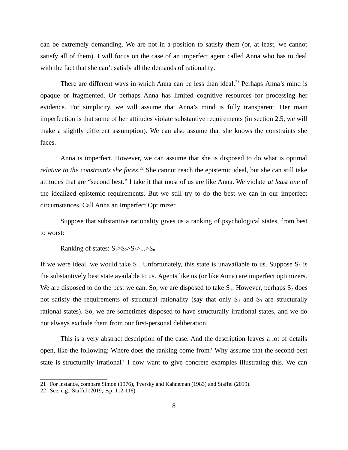can be extremely demanding. We are not in a position to satisfy them (or, at least, we cannot satisfy all of them). I will focus on the case of an imperfect agent called Anna who has to deal with the fact that she can't satisfy all the demands of rationality.

There are different ways in which Anna can be less than ideal.<sup>[21](#page-7-0)</sup> Perhaps Anna's mind is opaque or fragmented. Or perhaps Anna has limited cognitive resources for processing her evidence. For simplicity, we will assume that Anna's mind is fully transparent. Her main imperfection is that some of her attitudes violate substantive requirements (in section 2.5, we will make a slightly different assumption). We can also assume that she knows the constraints she faces.

Anna is imperfect. However, we can assume that she is disposed to do what is optimal relative to the constraints she faces.<sup>[22](#page-7-1)</sup> She cannot reach the epistemic ideal, but she can still take attitudes that are "second best." I take it that most of us are like Anna. We violate *at least one* of the idealized epistemic requirements. But we still try to do the best we can in our imperfect circumstances. Call Anna an Imperfect Optimizer.

Suppose that substantive rationality gives us a ranking of psychological states, from best to worst:

Ranking of states:  $S_1 > S_2 > S_3 > ... > S_n$ 

If we were ideal, we would take  $S_1$ . Unfortunately, this state is unavailable to us. Suppose  $S_2$  is the substantively best state available to us. Agents like us (or like Anna) are imperfect optimizers. We are disposed to do the best we can. So, we are disposed to take  $S_2$ . However, perhaps  $S_2$  does not satisfy the requirements of structural rationality (say that only  $S_1$  and  $S_3$  are structurally rational states). So, we are sometimes disposed to have structurally irrational states, and we do not always exclude them from our first-personal deliberation.

This is a very abstract description of the case. And the description leaves a lot of details open, like the following: Where does the ranking come from? Why assume that the second-best state is structurally irrational? I now want to give concrete examples illustrating this. We can

<span id="page-7-0"></span><sup>21</sup> For instance, compare Simon (1976), Tversky and Kahneman (1983) and Staffel (2019).

<span id="page-7-1"></span><sup>22</sup> See, e.g., Staffel (2019, esp. 112-116).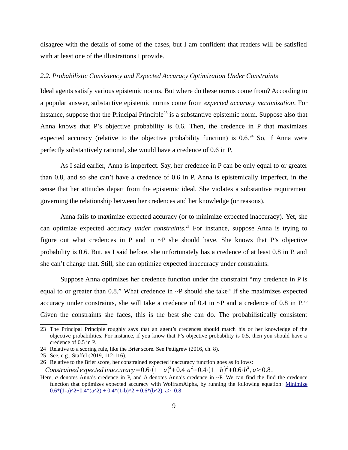disagree with the details of some of the cases, but I am confident that readers will be satisfied with at least one of the illustrations I provide.

#### *2.2. Probabilistic Consistency and Expected Accuracy Optimization Under Constraints*

Ideal agents satisfy various epistemic norms. But where do these norms come from? According to a popular answer, substantive epistemic norms come from *expected accuracy maximization*. For instance, suppose that the Principal Principle<sup>[23](#page-8-0)</sup> is a substantive epistemic norm. Suppose also that Anna knows that P's objective probability is 0.6. Then, the credence in P that maximizes expected accuracy (relative to the objective probability function) is  $0.6$ <sup>[24](#page-8-1)</sup> So, if Anna were perfectly substantively rational, she would have a credence of 0.6 in P.

As I said earlier, Anna is imperfect. Say, her credence in P can be only equal to or greater than 0.8, and so she can't have a credence of 0.6 in P. Anna is epistemically imperfect, in the sense that her attitudes depart from the epistemic ideal. She violates a substantive requirement governing the relationship between her credences and her knowledge (or reasons).

Anna fails to maximize expected accuracy (or to minimize expected inaccuracy). Yet, she can optimize expected accuracy *under constraints*. [25](#page-8-2) For instance, suppose Anna is trying to figure out what credences in P and in  $\sim$ P she should have. She knows that P's objective probability is 0.6. But, as I said before, she unfortunately has a credence of at least 0.8 in P, and she can't change that. Still, she can optimize expected inaccuracy under constraints.

Suppose Anna optimizes her credence function under the constraint "my credence in P is equal to or greater than  $0.8$ ." What credence in  $\sim$ P should she take? If she maximizes expected accuracy under constraints, she will take a credence of 0.4 in  $\sim$ P and a credence of 0.8 in P.<sup>[26](#page-8-3)</sup> Given the constraints she faces, this is the best she can do. The probabilistically consistent

<span id="page-8-0"></span><sup>23</sup> The Principal Principle roughly says that an agent's credences should match his or her knowledge of the objective probabilities. For instance, if you know that P's objective probability is 0.5, then you should have a credence of 0.5 in P.

<span id="page-8-1"></span><sup>24</sup> Relative to a scoring rule, like the Brier score. See Pettigrew (2016, ch. 8).

<span id="page-8-2"></span><sup>25</sup> See, e.g., Staffel (2019, 112-116).

<span id="page-8-3"></span><sup>26</sup> Relative to the Brier score, her constrained expected inaccuracy function goes as follows:

*Constrained expected inaccuracy* =  $0.6 \cdot (1 - a)^2 + 0.4 \cdot a^2 + 0.4 \cdot (1 - b)^2 + 0.6 \cdot b^2$ ,  $a \ge 0.8$ .

Here, *a* denotes Anna's credence in P, and *b* denotes Anna's credence in ~P. We can find the find the credence function that optimizes expected accuracy with WolframAlpha, by running the following equation: [Minimize](https://www.wolframalpha.com/input/?i=Minimize+0.6*(1-a)%5E2%2B0.4*(a%5E2)+%2B+0.4*(1-b)%5E2+%2B+0.6*(b%5E2)%2C+a%3E%3D0.8)  $0.6*(1-a)\times2+0.4*(a\times2)+0.4*(1-b)\times2+0.6*(b\times2), a>=0.8$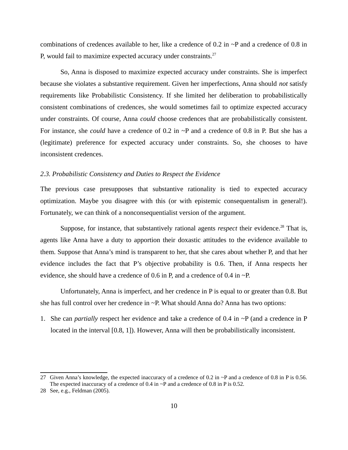combinations of credences available to her, like a credence of 0.2 in  $\sim$ P and a credence of 0.8 in P, would fail to maximize expected accuracy under constraints.<sup>[27](#page-9-0)</sup>

So, Anna is disposed to maximize expected accuracy under constraints. She is imperfect because she violates a substantive requirement. Given her imperfections, Anna should *not* satisfy requirements like Probabilistic Consistency. If she limited her deliberation to probabilistically consistent combinations of credences, she would sometimes fail to optimize expected accuracy under constraints. Of course, Anna *could* choose credences that are probabilistically consistent. For instance, she *could* have a credence of 0.2 in ~P and a credence of 0.8 in P. But she has a (legitimate) preference for expected accuracy under constraints. So, she chooses to have inconsistent credences.

#### *2.3. Probabilistic Consistency and Duties to Respect the Evidence*

The previous case presupposes that substantive rationality is tied to expected accuracy optimization. Maybe you disagree with this (or with epistemic consequentalism in general!). Fortunately, we can think of a nonconsequentialist version of the argument.

Suppose, for instance, that substantively rational agents *respect* their evidence.<sup>[28](#page-9-1)</sup> That is, agents like Anna have a duty to apportion their doxastic attitudes to the evidence available to them. Suppose that Anna's mind is transparent to her, that she cares about whether P, and that her evidence includes the fact that P's objective probability is 0.6. Then, if Anna respects her evidence, she should have a credence of 0.6 in P, and a credence of 0.4 in  $\sim$ P.

Unfortunately, Anna is imperfect, and her credence in P is equal to or greater than 0.8. But she has full control over her credence in ~P. What should Anna do? Anna has two options:

1. She can *partially* respect her evidence and take a credence of 0.4 in  $\sim$ P (and a credence in P located in the interval [0.8, 1]). However, Anna will then be probabilistically inconsistent.

<span id="page-9-0"></span><sup>27</sup> Given Anna's knowledge, the expected inaccuracy of a credence of 0.2 in  $\sim$ P and a credence of 0.8 in P is 0.56. The expected inaccuracy of a credence of 0.4 in  $\sim$ P and a credence of 0.8 in P is 0.52.

<span id="page-9-1"></span><sup>28</sup> See, e.g., Feldman (2005).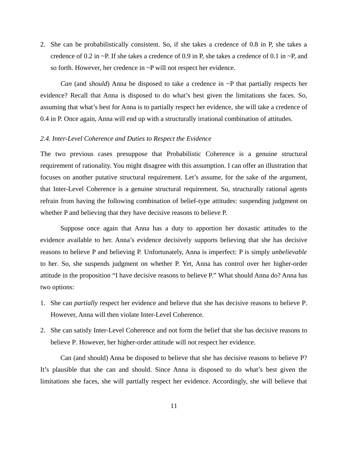2. She can be probabilistically consistent. So, if she takes a credence of 0.8 in P, she takes a credence of 0.2 in  $\sim$ P. If she takes a credence of 0.9 in P, she takes a credence of 0.1 in  $\sim$ P, and so forth. However, her credence in ~P will not respect her evidence.

*Can* (and *should*) Anna be disposed to take a credence in ~P that partially respects her evidence? Recall that Anna is disposed to do what's best given the limitations she faces. So, assuming that what's best for Anna is to partially respect her evidence, she will take a credence of 0.4 in P. Once again, Anna will end up with a structurally irrational combination of attitudes.

## *2.4. Inter-Level Coherence and Duties to Respect the Evidence*

The two previous cases presuppose that Probabilistic Coherence is a genuine structural requirement of rationality. You might disagree with this assumption. I can offer an illustration that focuses on another putative structural requirement. Let's assume, for the sake of the argument, that Inter-Level Coherence is a genuine structural requirement. So, structurally rational agents refrain from having the following combination of belief-type attitudes: suspending judgment on whether P and believing that they have decisive reasons to believe P.

Suppose once again that Anna has a duty to apportion her doxastic attitudes to the evidence available to her. Anna's evidence decisively supports believing that she has decisive reasons to believe P and believing P. Unfortunately, Anna is imperfect: P is simply *unbelievable* to her. So, she suspends judgment on whether P. Yet, Anna has control over her higher-order attitude in the proposition "I have decisive reasons to believe P." What should Anna do? Anna has two options:

- 1. She can *partially* respect her evidence and believe that she has decisive reasons to believe P. However, Anna will then violate Inter-Level Coherence.
- 2. She can satisfy Inter-Level Coherence and not form the belief that she has decisive reasons to believe P. However, her higher-order attitude will not respect her evidence.

Can (and should) Anna be disposed to believe that she has decisive reasons to believe P? It's plausible that she can and should. Since Anna is disposed to do what's best given the limitations she faces, she will partially respect her evidence. Accordingly, she will believe that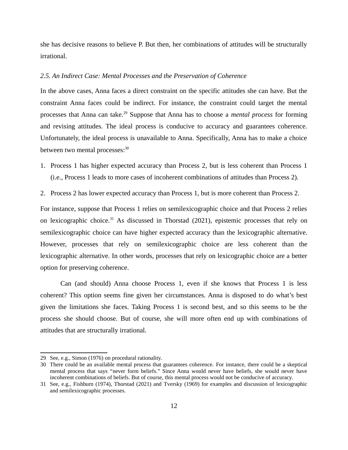she has decisive reasons to believe P. But then, her combinations of attitudes will be structurally irrational.

### *2.5. An Indirect Case: Mental Processes and the Preservation of Coherence*

In the above cases, Anna faces a direct constraint on the specific attitudes she can have. But the constraint Anna faces could be indirect. For instance, the constraint could target the mental processes that Anna can take.<sup>[29](#page-11-0)</sup> Suppose that Anna has to choose a *mental process* for forming and revising attitudes. The ideal process is conducive to accuracy and guarantees coherence. Unfortunately, the ideal process is unavailable to Anna. Specifically, Anna has to make a choice between two mental processes:<sup>[30](#page-11-1)</sup>

- 1. Process 1 has higher expected accuracy than Process 2, but is less coherent than Process 1 (i.e., Process 1 leads to more cases of incoherent combinations of attitudes than Process 2).
- 2. Process 2 has lower expected accuracy than Process 1, but is more coherent than Process 2.

For instance, suppose that Process 1 relies on semilexicographic choice and that Process 2 relies on lexicographic choice.<sup>[31](#page-11-2)</sup> As discussed in Thorstad (2021), epistemic processes that rely on semilexicographic choice can have higher expected accuracy than the lexicographic alternative. However, processes that rely on semilexicographic choice are less coherent than the lexicographic alternative. In other words, processes that rely on lexicographic choice are a better option for preserving coherence.

Can (and should) Anna choose Process 1, even if she knows that Process 1 is less coherent? This option seems fine given her circumstances. Anna is disposed to do what's best given the limitations she faces. Taking Process 1 is second best, and so this seems to be the process she should choose. But of course, she will more often end up with combinations of attitudes that are structurally irrational.

<span id="page-11-0"></span><sup>29</sup> See, e.g., Simon (1976) on procedural rationality.

<span id="page-11-1"></span><sup>30</sup> There could be an available mental process that guarantees coherence. For instance, there could be a skeptical mental process that says "never form beliefs." Since Anna would never have beliefs, she would never have incoherent combinations of beliefs. But of course, this mental process would not be conducive of accuracy.

<span id="page-11-2"></span><sup>31</sup> See, e.g., Fishburn (1974), Thorstad (2021) and Tversky (1969) for examples and discussion of lexicographic and semilexicographic processes.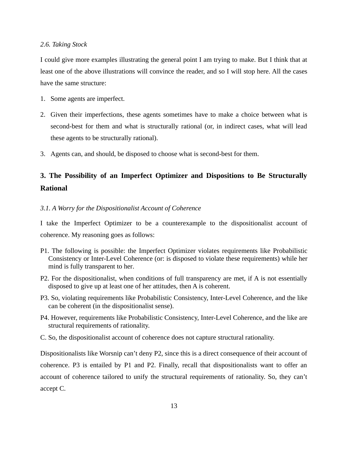## *2.6. Taking Stock*

I could give more examples illustrating the general point I am trying to make. But I think that at least one of the above illustrations will convince the reader, and so I will stop here. All the cases have the same structure:

- 1. Some agents are imperfect.
- 2. Given their imperfections, these agents sometimes have to make a choice between what is second-best for them and what is structurally rational (or, in indirect cases, what will lead these agents to be structurally rational).
- 3. Agents can, and should, be disposed to choose what is second-best for them.

# **3. The Possibility of an Imperfect Optimizer and Dispositions to Be Structurally Rational**

## *3.1. A Worry for the Dispositionalist Account of Coherence*

I take the Imperfect Optimizer to be a counterexample to the dispositionalist account of coherence. My reasoning goes as follows:

- P1. The following is possible: the Imperfect Optimizer violates requirements like Probabilistic Consistency or Inter-Level Coherence (or: is disposed to violate these requirements) while her mind is fully transparent to her.
- P2. For the dispositionalist, when conditions of full transparency are met, if A is not essentially disposed to give up at least one of her attitudes, then A is coherent.
- P3. So, violating requirements like Probabilistic Consistency, Inter-Level Coherence, and the like can be coherent (in the dispositionalist sense).
- P4. However, requirements like Probabilistic Consistency, Inter-Level Coherence, and the like are structural requirements of rationality.
- C. So, the dispositionalist account of coherence does not capture structural rationality.

Dispositionalists like Worsnip can't deny P2, since this is a direct consequence of their account of coherence. P3 is entailed by P1 and P2. Finally, recall that dispositionalists want to offer an account of coherence tailored to unify the structural requirements of rationality. So, they can't accept C.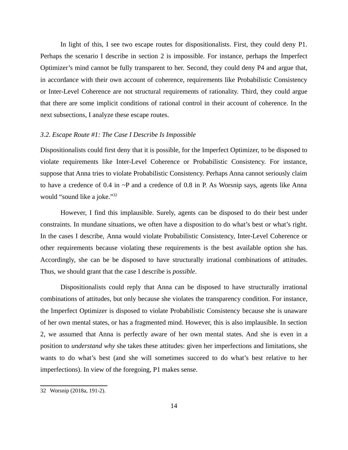In light of this, I see two escape routes for dispositionalists. First, they could deny P1. Perhaps the scenario I describe in section 2 is impossible. For instance, perhaps the Imperfect Optimizer's mind cannot be fully transparent to her. Second, they could deny P4 and argue that, in accordance with their own account of coherence, requirements like Probabilistic Consistency or Inter-Level Coherence are not structural requirements of rationality. Third, they could argue that there are some implicit conditions of rational control in their account of coherence. In the next subsections, I analyze these escape routes.

## *3.2. Escape Route #1: The Case I Describe Is Impossible*

Dispositionalists could first deny that it is possible, for the Imperfect Optimizer, to be disposed to violate requirements like Inter-Level Coherence or Probabilistic Consistency. For instance, suppose that Anna tries to violate Probabilistic Consistency. Perhaps Anna cannot seriously claim to have a credence of 0.4 in  $\sim$ P and a credence of 0.8 in P. As Worsnip says, agents like Anna would "sound like a joke."<sup>[32](#page-13-0)</sup>

However, I find this implausible. Surely, agents can be disposed to do their best under constraints. In mundane situations, we often have a disposition to do what's best or what's right. In the cases I describe, Anna would violate Probabilistic Consistency, Inter-Level Coherence or other requirements because violating these requirements is the best available option she has. Accordingly, she can be be disposed to have structurally irrational combinations of attitudes. Thus, we should grant that the case I describe is *possible*.

Dispositionalists could reply that Anna can be disposed to have structurally irrational combinations of attitudes, but only because she violates the transparency condition. For instance, the Imperfect Optimizer is disposed to violate Probabilistic Consistency because she is unaware of her own mental states, or has a fragmented mind. However, this is also implausible. In section 2, we assumed that Anna is perfectly aware of her own mental states. And she is even in a position to *understand why* she takes these attitudes: given her imperfections and limitations, she wants to do what's best (and she will sometimes succeed to do what's best relative to her imperfections). In view of the foregoing, P1 makes sense.

<span id="page-13-0"></span><sup>32</sup> Worsnip (2018a, 191-2).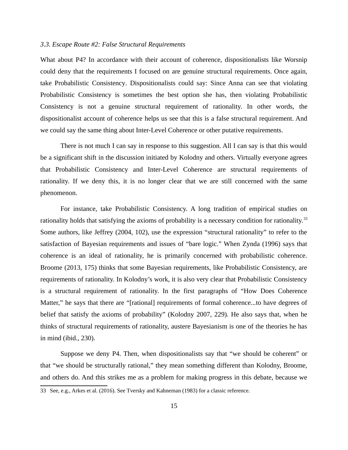## *3.3. Escape Route #2: False Structural Requirements*

What about P4? In accordance with their account of coherence, dispositionalists like Worsnip could deny that the requirements I focused on are genuine structural requirements. Once again, take Probabilistic Consistency. Dispositionalists could say: Since Anna can see that violating Probabilistic Consistency is sometimes the best option she has, then violating Probabilistic Consistency is not a genuine structural requirement of rationality. In other words, the dispositionalist account of coherence helps us see that this is a false structural requirement. And we could say the same thing about Inter-Level Coherence or other putative requirements.

There is not much I can say in response to this suggestion. All I can say is that this would be a significant shift in the discussion initiated by Kolodny and others. Virtually everyone agrees that Probabilistic Consistency and Inter-Level Coherence are structural requirements of rationality. If we deny this, it is no longer clear that we are still concerned with the same phenomenon.

For instance, take Probabilistic Consistency. A long tradition of empirical studies on rationality holds that satisfying the axioms of probability is a necessary condition for rationality.<sup>[33](#page-14-0)</sup> Some authors, like Jeffrey (2004, 102), use the expression "structural rationality" to refer to the satisfaction of Bayesian requirements and issues of "bare logic." When Zynda (1996) says that coherence is an ideal of rationality, he is primarily concerned with probabilistic coherence. Broome (2013, 175) thinks that some Bayesian requirements, like Probabilistic Consistency, are requirements of rationality. In Kolodny's work, it is also very clear that Probabilistic Consistency is a structural requirement of rationality. In the first paragraphs of "How Does Coherence Matter," he says that there are "[rational] requirements of formal coherence...to have degrees of belief that satisfy the axioms of probability" (Kolodny 2007, 229). He also says that, when he thinks of structural requirements of rationality, austere Bayesianism is one of the theories he has in mind (ibid., 230).

Suppose we deny P4. Then, when dispositionalists say that "we should be coherent" or that "we should be structurally rational," they mean something different than Kolodny, Broome, and others do. And this strikes me as a problem for making progress in this debate, because we

<span id="page-14-0"></span><sup>33</sup> See, e.g., Arkes et al. (2016). See Tversky and Kahneman (1983) for a classic reference.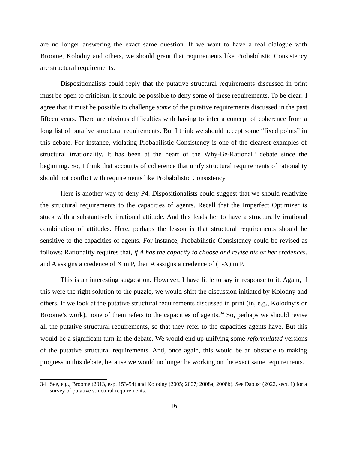are no longer answering the exact same question. If we want to have a real dialogue with Broome, Kolodny and others, we should grant that requirements like Probabilistic Consistency are structural requirements.

Dispositionalists could reply that the putative structural requirements discussed in print must be open to criticism. It should be possible to deny some of these requirements. To be clear: I agree that it must be possible to challenge *some* of the putative requirements discussed in the past fifteen years. There are obvious difficulties with having to infer a concept of coherence from a long list of putative structural requirements. But I think we should accept some "fixed points" in this debate. For instance, violating Probabilistic Consistency is one of the clearest examples of structural irrationality. It has been at the heart of the Why-Be-Rational? debate since the beginning. So, I think that accounts of coherence that unify structural requirements of rationality should not conflict with requirements like Probabilistic Consistency.

Here is another way to deny P4. Dispositionalists could suggest that we should relativize the structural requirements to the capacities of agents. Recall that the Imperfect Optimizer is stuck with a substantively irrational attitude. And this leads her to have a structurally irrational combination of attitudes. Here, perhaps the lesson is that structural requirements should be sensitive to the capacities of agents. For instance, Probabilistic Consistency could be revised as follows: Rationality requires that, *if A has the capacity to choose and revise his or her credences*, and A assigns a credence of X in P, then A assigns a credence of (1-X) in P.

This is an interesting suggestion. However, I have little to say in response to it. Again, if this were the right solution to the puzzle, we would shift the discussion initiated by Kolodny and others. If we look at the putative structural requirements discussed in print (in, e.g., Kolodny's or Broome's work), none of them refers to the capacities of agents. $34$  So, perhaps we should revise all the putative structural requirements, so that they refer to the capacities agents have. But this would be a significant turn in the debate. We would end up unifying some *reformulated* versions of the putative structural requirements. And, once again, this would be an obstacle to making progress in this debate, because we would no longer be working on the exact same requirements.

<span id="page-15-0"></span><sup>34</sup> See, e.g., Broome (2013, esp. 153-54) and Kolodny (2005; 2007; 2008a; 2008b). See Daoust (2022, sect. 1) for a survey of putative structural requirements.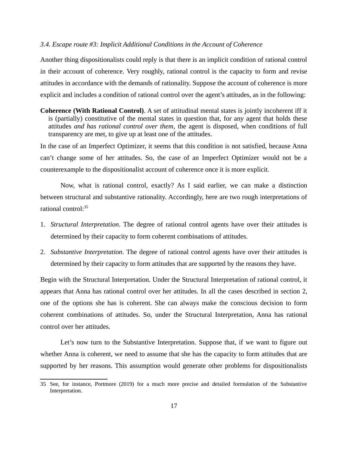### *3.4. Escape route #3: Implicit Additional Conditions in the Account of Coherence*

Another thing dispositionalists could reply is that there is an implicit condition of rational control in their account of coherence. Very roughly, rational control is the capacity to form and revise attitudes in accordance with the demands of rationality. Suppose the account of coherence is more explicit and includes a condition of rational control over the agent's attitudes, as in the following:

**Coherence (With Rational Control)**. A set of attitudinal mental states is jointly incoherent iff it is (partially) constitutive of the mental states in question that, for any agent that holds these attitudes *and has rational control over them*, the agent is disposed, when conditions of full transparency are met, to give up at least one of the attitudes.

In the case of an Imperfect Optimizer, it seems that this condition is not satisfied, because Anna can't change some of her attitudes. So, the case of an Imperfect Optimizer would not be a counterexample to the dispositionalist account of coherence once it is more explicit.

Now, what is rational control, exactly? As I said earlier, we can make a distinction between structural and substantive rationality. Accordingly, here are two rough interpretations of rational control:[35](#page-16-0)

- 1. *Structural Interpretation*. The degree of rational control agents have over their attitudes is determined by their capacity to form coherent combinations of attitudes.
- 2. *Substantive Interpretation*. The degree of rational control agents have over their attitudes is determined by their capacity to form attitudes that are supported by the reasons they have.

Begin with the Structural Interpretation. Under the Structural Interpretation of rational control, it appears that Anna has rational control over her attitudes. In all the cases described in section 2, one of the options she has is coherent. She can always make the conscious decision to form coherent combinations of attitudes. So, under the Structural Interpretation, Anna has rational control over her attitudes.

Let's now turn to the Substantive Interpretation. Suppose that, if we want to figure out whether Anna is coherent, we need to assume that she has the capacity to form attitudes that are supported by her reasons. This assumption would generate other problems for dispositionalists

<span id="page-16-0"></span><sup>35</sup> See, for instance, Portmore (2019) for a much more precise and detailed formulation of the Substantive Interpretation.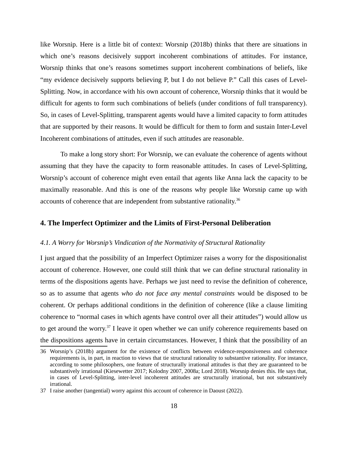like Worsnip. Here is a little bit of context: Worsnip (2018b) thinks that there are situations in which one's reasons decisively support incoherent combinations of attitudes. For instance, Worsnip thinks that one's reasons sometimes support incoherent combinations of beliefs, like "my evidence decisively supports believing P, but I do not believe P." Call this cases of Level-Splitting. Now, in accordance with his own account of coherence, Worsnip thinks that it would be difficult for agents to form such combinations of beliefs (under conditions of full transparency). So, in cases of Level-Splitting, transparent agents would have a limited capacity to form attitudes that are supported by their reasons. It would be difficult for them to form and sustain Inter-Level Incoherent combinations of attitudes, even if such attitudes are reasonable.

To make a long story short: For Worsnip, we can evaluate the coherence of agents without assuming that they have the capacity to form reasonable attitudes. In cases of Level-Splitting, Worsnip's account of coherence might even entail that agents like Anna lack the capacity to be maximally reasonable. And this is one of the reasons why people like Worsnip came up with accounts of coherence that are independent from substantive rationality.<sup>[36](#page-17-0)</sup>

## **4. The Imperfect Optimizer and the Limits of First-Personal Deliberation**

#### *4.1. A Worry for Worsnip's Vindication of the Normativity of Structural Rationality*

I just argued that the possibility of an Imperfect Optimizer raises a worry for the dispositionalist account of coherence. However, one could still think that we can define structural rationality in terms of the dispositions agents have. Perhaps we just need to revise the definition of coherence, so as to assume that agents *who do not face any mental constraints* would be disposed to be coherent. Or perhaps additional conditions in the definition of coherence (like a clause limiting coherence to "normal cases in which agents have control over all their attitudes") would allow us to get around the worry.<sup>[37](#page-17-1)</sup> I leave it open whether we can unify coherence requirements based on the dispositions agents have in certain circumstances. However, I think that the possibility of an

<span id="page-17-0"></span><sup>36</sup> Worsnip's (2018b) argument for the existence of conflicts between evidence-responsiveness and coherence requirements is, in part, in reaction to views that tie structural rationality to substantive rationality. For instance, according to some philosophers, one feature of structurally irrational attitudes is that they are guaranteed to be substantively irrational (Kiesewetter 2017; Kolodny 2007, 2008a; Lord 2018). Worsnip denies this. He says that, in cases of Level-Splitting, inter-level incoherent attitudes are structurally irrational, but not substantively irrational.

<span id="page-17-1"></span><sup>37</sup> I raise another (tangential) worry against this account of coherence in Daoust (2022).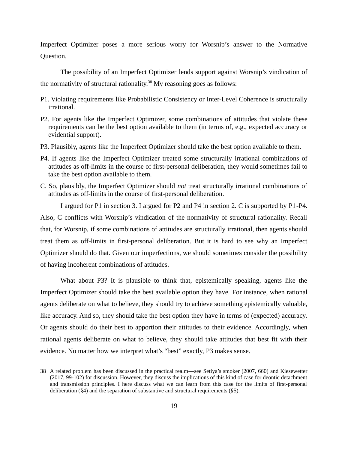Imperfect Optimizer poses a more serious worry for Worsnip's answer to the Normative Question.

The possibility of an Imperfect Optimizer lends support against Worsnip's vindication of the normativity of structural rationality. $38$  My reasoning goes as follows:

- P1. Violating requirements like Probabilistic Consistency or Inter-Level Coherence is structurally irrational.
- P2. For agents like the Imperfect Optimizer, some combinations of attitudes that violate these requirements can be the best option available to them (in terms of, e.g., expected accuracy or evidential support).
- P3. Plausibly, agents like the Imperfect Optimizer should take the best option available to them.
- P4. If agents like the Imperfect Optimizer treated some structurally irrational combinations of attitudes as off-limits in the course of first-personal deliberation, they would sometimes fail to take the best option available to them.
- C. So, plausibly, the Imperfect Optimizer should *not* treat structurally irrational combinations of attitudes as off-limits in the course of first-personal deliberation.

I argued for P1 in section 3. I argued for P2 and P4 in section 2. C is supported by P1-P4. Also, C conflicts with Worsnip's vindication of the normativity of structural rationality. Recall that, for Worsnip, if some combinations of attitudes are structurally irrational, then agents should treat them as off-limits in first-personal deliberation. But it is hard to see why an Imperfect Optimizer should do that. Given our imperfections, we should sometimes consider the possibility of having incoherent combinations of attitudes.

What about P3? It is plausible to think that, epistemically speaking, agents like the Imperfect Optimizer should take the best available option they have. For instance, when rational agents deliberate on what to believe, they should try to achieve something epistemically valuable, like accuracy. And so, they should take the best option they have in terms of (expected) accuracy. Or agents should do their best to apportion their attitudes to their evidence. Accordingly, when rational agents deliberate on what to believe, they should take attitudes that best fit with their evidence. No matter how we interpret what's "best" exactly, P3 makes sense.

<span id="page-18-0"></span><sup>38</sup> A related problem has been discussed in the practical realm—see Setiya's smoker (2007, 660) and Kiesewetter (2017, 99-102) for discussion. However, they discuss the implications of this kind of case for deontic detachment and transmission principles. I here discuss what we can learn from this case for the limits of first-personal deliberation (§4) and the separation of substantive and structural requirements (§5).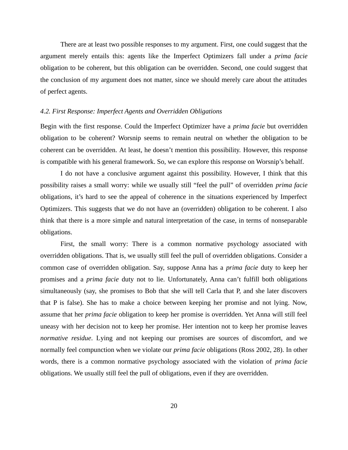There are at least two possible responses to my argument. First, one could suggest that the argument merely entails this: agents like the Imperfect Optimizers fall under a *prima facie* obligation to be coherent, but this obligation can be overridden. Second, one could suggest that the conclusion of my argument does not matter, since we should merely care about the attitudes of perfect agents.

## *4.2. First Response: Imperfect Agents and Overridden Obligations*

Begin with the first response. Could the Imperfect Optimizer have a *prima facie* but overridden obligation to be coherent? Worsnip seems to remain neutral on whether the obligation to be coherent can be overridden. At least, he doesn't mention this possibility. However, this response is compatible with his general framework. So, we can explore this response on Worsnip's behalf.

I do not have a conclusive argument against this possibility. However, I think that this possibility raises a small worry: while we usually still "feel the pull" of overridden *prima facie* obligations, it's hard to see the appeal of coherence in the situations experienced by Imperfect Optimizers. This suggests that we do not have an (overridden) obligation to be coherent. I also think that there is a more simple and natural interpretation of the case, in terms of nonseparable obligations.

First, the small worry: There is a common normative psychology associated with overridden obligations. That is, we usually still feel the pull of overridden obligations. Consider a common case of overridden obligation. Say, suppose Anna has a *prima facie* duty to keep her promises and a *prima facie* duty not to lie. Unfortunately, Anna can't fulfill both obligations simultaneously (say, she promises to Bob that she will tell Carla that P, and she later discovers that P is false). She has to make a choice between keeping her promise and not lying. Now, assume that her *prima facie* obligation to keep her promise is overridden. Yet Anna will still feel uneasy with her decision not to keep her promise. Her intention not to keep her promise leaves *normative residue*. Lying and not keeping our promises are sources of discomfort, and we normally feel compunction when we violate our *prima facie* obligations (Ross 2002, 28). In other words, there is a common normative psychology associated with the violation of *prima facie* obligations. We usually still feel the pull of obligations, even if they are overridden.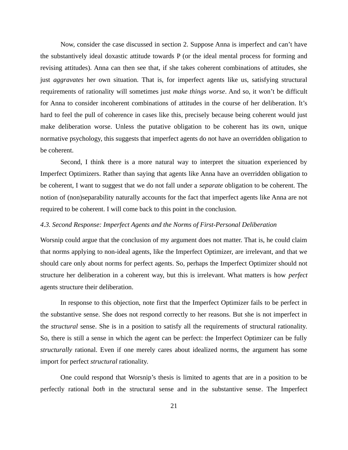Now, consider the case discussed in section 2. Suppose Anna is imperfect and can't have the substantively ideal doxastic attitude towards P (or the ideal mental process for forming and revising attitudes). Anna can then see that, if she takes coherent combinations of attitudes, she just *aggravates* her own situation. That is, for imperfect agents like us, satisfying structural requirements of rationality will sometimes just *make things worse*. And so, it won't be difficult for Anna to consider incoherent combinations of attitudes in the course of her deliberation. It's hard to feel the pull of coherence in cases like this, precisely because being coherent would just make deliberation worse. Unless the putative obligation to be coherent has its own, unique normative psychology, this suggests that imperfect agents do not have an overridden obligation to be coherent.

Second, I think there is a more natural way to interpret the situation experienced by Imperfect Optimizers. Rather than saying that agents like Anna have an overridden obligation to be coherent, I want to suggest that we do not fall under a *separate* obligation to be coherent. The notion of (non)separability naturally accounts for the fact that imperfect agents like Anna are not required to be coherent. I will come back to this point in the conclusion.

#### *4.3. Second Response: Imperfect Agents and the Norms of First-Personal Deliberation*

Worsnip could argue that the conclusion of my argument does not matter. That is, he could claim that norms applying to non-ideal agents, like the Imperfect Optimizer, are irrelevant, and that we should care only about norms for perfect agents. So, perhaps the Imperfect Optimizer should not structure her deliberation in a coherent way, but this is irrelevant. What matters is how *perfect* agents structure their deliberation.

In response to this objection, note first that the Imperfect Optimizer fails to be perfect in the substantive sense. She does not respond correctly to her reasons. But she is not imperfect in the *structural* sense. She is in a position to satisfy all the requirements of structural rationality. So, there is still a sense in which the agent can be perfect: the Imperfect Optimizer can be fully *structurally* rational. Even if one merely cares about idealized norms, the argument has some import for perfect *structural* rationality.

One could respond that Worsnip's thesis is limited to agents that are in a position to be perfectly rational *both* in the structural sense and in the substantive sense. The Imperfect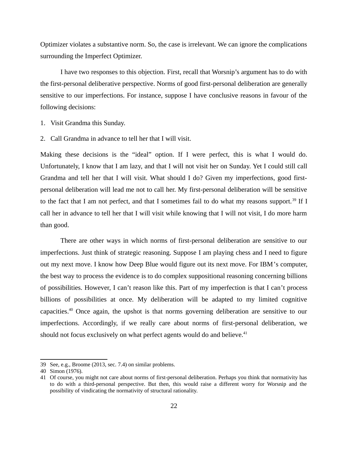Optimizer violates a substantive norm. So, the case is irrelevant. We can ignore the complications surrounding the Imperfect Optimizer.

I have two responses to this objection. First, recall that Worsnip's argument has to do with the first-personal deliberative perspective. Norms of good first-personal deliberation are generally sensitive to our imperfections. For instance, suppose I have conclusive reasons in favour of the following decisions:

- 1. Visit Grandma this Sunday.
- 2. Call Grandma in advance to tell her that I will visit.

Making these decisions is the "ideal" option. If I were perfect, this is what I would do. Unfortunately, I know that I am lazy, and that I will not visit her on Sunday. Yet I could still call Grandma and tell her that I will visit. What should I do? Given my imperfections, good firstpersonal deliberation will lead me not to call her. My first-personal deliberation will be sensitive to the fact that I am not perfect, and that I sometimes fail to do what my reasons support.<sup>[39](#page-21-0)</sup> If I call her in advance to tell her that I will visit while knowing that I will not visit, I do more harm than good.

There are other ways in which norms of first-personal deliberation are sensitive to our imperfections. Just think of strategic reasoning. Suppose I am playing chess and I need to figure out my next move. I know how Deep Blue would figure out its next move. For IBM's computer, the best way to process the evidence is to do complex suppositional reasoning concerning billions of possibilities. However, I can't reason like this. Part of my imperfection is that I can't process billions of possibilities at once. My deliberation will be adapted to my limited cognitive capacities.[40](#page-21-1) Once again, the upshot is that norms governing deliberation are sensitive to our imperfections. Accordingly, if we really care about norms of first-personal deliberation, we should not focus exclusively on what perfect agents would do and believe.<sup>[41](#page-21-2)</sup>

<span id="page-21-0"></span><sup>39</sup> See, e.g., Broome (2013, sec. 7.4) on similar problems.

<span id="page-21-1"></span><sup>40</sup> Simon (1976).

<span id="page-21-2"></span><sup>41</sup> Of course, you might not care about norms of first-personal deliberation. Perhaps you think that normativity has to do with a third-personal perspective. But then, this would raise a different worry for Worsnip and the possibility of vindicating the normativity of structural rationality.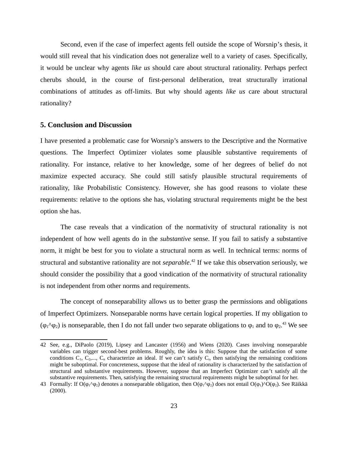Second, even if the case of imperfect agents fell outside the scope of Worsnip's thesis, it would still reveal that his vindication does not generalize well to a variety of cases. Specifically, it would be unclear why agents *like us* should care about structural rationality. Perhaps perfect cherubs should, in the course of first-personal deliberation, treat structurally irrational combinations of attitudes as off-limits. But why should agents *like us* care about structural rationality?

## **5. Conclusion and Discussion**

I have presented a problematic case for Worsnip's answers to the Descriptive and the Normative questions. The Imperfect Optimizer violates some plausible substantive requirements of rationality. For instance, relative to her knowledge, some of her degrees of belief do not maximize expected accuracy. She could still satisfy plausible structural requirements of rationality, like Probabilistic Consistency. However, she has good reasons to violate these requirements: relative to the options she has, violating structural requirements might be the best option she has.

The case reveals that a vindication of the normativity of structural rationality is not independent of how well agents do in the *substantive* sense. If you fail to satisfy a substantive norm, it might be best for you to violate a structural norm as well. In technical terms: norms of structural and substantive rationality are not *separable*. [42](#page-22-0) If we take this observation seriously, we should consider the possibility that a good vindication of the normativity of structural rationality is not independent from other norms and requirements.

The concept of nonseparability allows us to better grasp the permissions and obligations of Imperfect Optimizers. Nonseparable norms have certain logical properties. If my obligation to ( $\varphi_1 \wedge \varphi_2$ ) is nonseparable, then I do not fall under two separate obligations to  $\varphi_1$  and to  $\varphi_2$ .<sup>[43](#page-22-1)</sup> We see

<span id="page-22-0"></span><sup>42</sup> See, e.g., DiPaolo (2019), Lipsey and Lancaster (1956) and Wiens (2020). Cases involving nonseparable variables can trigger second-best problems. Roughly, the idea is this: Suppose that the satisfaction of some conditions  $C_1$ ,  $C_2$ ,...,  $C_n$  characterize an ideal. If we can't satisfy  $C_i$ , then satisfying the remaining conditions might be suboptimal. For concreteness, suppose that the ideal of rationality is characterized by the satisfaction of structural and substantive requirements. However, suppose that an Imperfect Optimizer can't satisfy all the substantive requirements. Then, satisfying the remaining structural requirements might be suboptimal for her.

<span id="page-22-1"></span><sup>43</sup> Formally: If  $O(\phi_1 \wedge \phi_2)$  denotes a nonseparable obligation, then  $O(\phi_1 \wedge \phi_2)$  does not entail  $O(\phi_1 \wedge O(\phi_2)$ . See Räikkä (2000).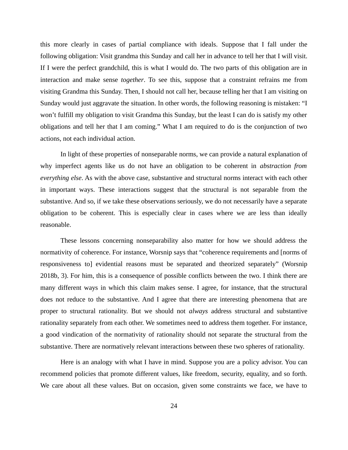this more clearly in cases of partial compliance with ideals. Suppose that I fall under the following obligation: Visit grandma this Sunday and call her in advance to tell her that I will visit. If I were the perfect grandchild, this is what I would do. The two parts of this obligation are in interaction and make sense *together*. To see this, suppose that a constraint refrains me from visiting Grandma this Sunday. Then, I should not call her, because telling her that I am visiting on Sunday would just aggravate the situation. In other words, the following reasoning is mistaken: "I won't fulfill my obligation to visit Grandma this Sunday, but the least I can do is satisfy my other obligations and tell her that I am coming." What I am required to do is the conjunction of two actions, not each individual action.

In light of these properties of nonseparable norms, we can provide a natural explanation of why imperfect agents like us do not have an obligation to be coherent in *abstraction from everything else*. As with the above case, substantive and structural norms interact with each other in important ways. These interactions suggest that the structural is not separable from the substantive. And so, if we take these observations seriously, we do not necessarily have a separate obligation to be coherent. This is especially clear in cases where we are less than ideally reasonable.

These lessons concerning nonseparability also matter for how we should address the normativity of coherence. For instance, Worsnip says that "coherence requirements and [norms of responsiveness to] evidential reasons must be separated and theorized separately" (Worsnip 2018b, 3). For him, this is a consequence of possible conflicts between the two. I think there are many different ways in which this claim makes sense. I agree, for instance, that the structural does not reduce to the substantive. And I agree that there are interesting phenomena that are proper to structural rationality. But we should not *always* address structural and substantive rationality separately from each other. We sometimes need to address them together. For instance, a good vindication of the normativity of rationality should not separate the structural from the substantive. There are normatively relevant interactions between these two spheres of rationality.

Here is an analogy with what I have in mind. Suppose you are a policy advisor. You can recommend policies that promote different values, like freedom, security, equality, and so forth. We care about all these values. But on occasion, given some constraints we face, we have to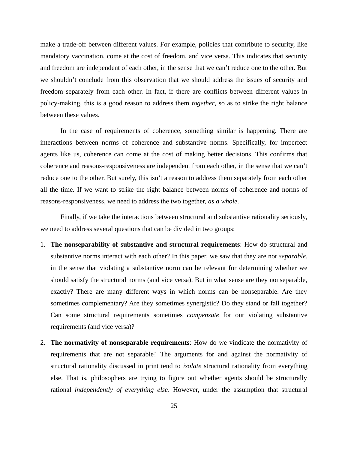make a trade-off between different values. For example, policies that contribute to security, like mandatory vaccination, come at the cost of freedom, and vice versa. This indicates that security and freedom are independent of each other, in the sense that we can't reduce one to the other. But we shouldn't conclude from this observation that we should address the issues of security and freedom separately from each other. In fact, if there are conflicts between different values in policy-making, this is a good reason to address them *together*, so as to strike the right balance between these values.

In the case of requirements of coherence, something similar is happening. There are interactions between norms of coherence and substantive norms. Specifically, for imperfect agents like us, coherence can come at the cost of making better decisions. This confirms that coherence and reasons-responsiveness are independent from each other, in the sense that we can't reduce one to the other. But surely, this isn't a reason to address them separately from each other all the time. If we want to strike the right balance between norms of coherence and norms of reasons-responsiveness, we need to address the two together, *as a whole*.

Finally, if we take the interactions between structural and substantive rationality seriously, we need to address several questions that can be divided in two groups:

- 1. **The nonseparability of substantive and structural requirements**: How do structural and substantive norms interact with each other? In this paper, we saw that they are not *separable*, in the sense that violating a substantive norm can be relevant for determining whether we should satisfy the structural norms (and vice versa). But in what sense are they nonseparable, exactly? There are many different ways in which norms can be nonseparable. Are they sometimes complementary? Are they sometimes synergistic? Do they stand or fall together? Can some structural requirements sometimes *compensate* for our violating substantive requirements (and vice versa)?
- 2. **The normativity of nonseparable requirements**: How do we vindicate the normativity of requirements that are not separable? The arguments for and against the normativity of structural rationality discussed in print tend to *isolate* structural rationality from everything else. That is, philosophers are trying to figure out whether agents should be structurally rational *independently of everything else*. However, under the assumption that structural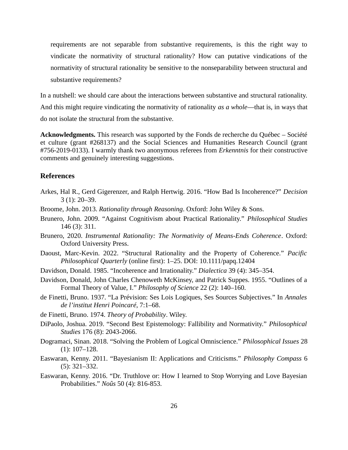requirements are not separable from substantive requirements, is this the right way to vindicate the normativity of structural rationality? How can putative vindications of the normativity of structural rationality be sensitive to the nonseparability between structural and substantive requirements?

In a nutshell: we should care about the interactions between substantive and structural rationality. And this might require vindicating the normativity of rationality *as a whole*—that is, in ways that do not isolate the structural from the substantive.

**Acknowledgments.** This research was supported by the Fonds de recherche du Québec – Société et culture (grant #268137) and the Social Sciences and Humanities Research Council (grant #756-2019-0133). I warmly thank two anonymous referees from *Erkenntnis* for their constructive comments and genuinely interesting suggestions.

## **References**

- Arkes, Hal R., Gerd Gigerenzer, and Ralph Hertwig. 2016. "How Bad Is Incoherence?" *Decision* 3 (1): 20–39.
- Broome, John. 2013. *Rationality through Reasoning*. Oxford: John Wiley & Sons.
- Brunero, John. 2009. "Against Cognitivism about Practical Rationality." *Philosophical Studies* 146 (3): 311.
- Brunero, 2020. *Instrumental Rationality: The Normativity of Means-Ends Coherence*. Oxford: Oxford University Press.
- Daoust, Marc-Kevin. 2022. "Structural Rationality and the Property of Coherence." *Pacific Philosophical Quarterly* (online first): 1–25. DOI: 10.1111/papq.12404
- Davidson, Donald. 1985. "Incoherence and Irrationality." *Dialectica* 39 (4): 345–354.
- Davidson, Donald, John Charles Chenoweth McKinsey, and Patrick Suppes. 1955. "Outlines of a Formal Theory of Value, I." *Philosophy of Science* 22 (2): 140–160.
- de Finetti, Bruno. 1937. "La Prévision: Ses Lois Logiques, Ses Sources Subjectives." In *Annales de l'institut Henri Poincaré*, 7:1–68.
- de Finetti, Bruno. 1974. *Theory of Probability*. Wiley.
- DiPaolo, Joshua. 2019. "Second Best Epistemology: Fallibility and Normativity." *Philosophical Studies* 176 (8): 2043-2066.
- Dogramaci, Sinan. 2018. "Solving the Problem of Logical Omniscience." *Philosophical Issues* 28 (1): 107–128.
- Easwaran, Kenny. 2011. "Bayesianism II: Applications and Criticisms." *Philosophy Compass* 6 (5): 321–332.
- Easwaran, Kenny. 2016. "Dr. Truthlove or: How I learned to Stop Worrying and Love Bayesian Probabilities." *Noûs* 50 (4): 816-853.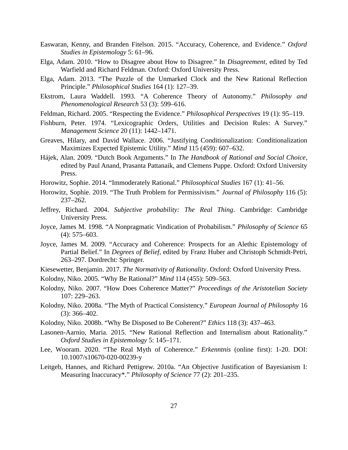- Easwaran, Kenny, and Branden Fitelson. 2015. "Accuracy, Coherence, and Evidence." *Oxford Studies in Epistemology* 5: 61–96.
- Elga, Adam. 2010. "How to Disagree about How to Disagree." In *Disagreement*, edited by Ted Warfield and Richard Feldman. Oxford: Oxford University Press.
- Elga, Adam. 2013. "The Puzzle of the Unmarked Clock and the New Rational Reflection Principle." *Philosophical Studies* 164 (1): 127–39.
- Ekstrom, Laura Waddell. 1993. "A Coherence Theory of Autonomy." *Philosophy and Phenomenological Research* 53 (3): 599–616.
- Feldman, Richard. 2005. "Respecting the Evidence." *Philosophical Perspectives* 19 (1): 95–119.
- Fishburn, Peter. 1974. "Lexicographic Orders, Utilities and Decision Rules: A Survey." *Management Science* 20 (11): 1442–1471.
- Greaves, Hilary, and David Wallace. 2006. "Justifying Conditionalization: Conditionalization Maximizes Expected Epistemic Utility." *Mind* 115 (459): 607–632.
- Hájek, Alan. 2009. "Dutch Book Arguments." In *The Handbook of Rational and Social Choice*, edited by Paul Anand, Prasanta Pattanaik, and Clemens Puppe. Oxford: Oxford University Press.
- Horowitz, Sophie. 2014. "Immoderately Rational." *Philosophical Studies* 167 (1): 41–56.
- Horowitz, Sophie. 2019. "The Truth Problem for Permissivism." *Journal of Philosophy* 116 (5): 237–262.
- Jeffrey, Richard. 2004. *Subjective probability: The Real Thing*. Cambridge: Cambridge University Press.
- Joyce, James M. 1998. "A Nonpragmatic Vindication of Probabilism." *Philosophy of Science* 65 (4): 575–603.
- Joyce, James M. 2009. "Accuracy and Coherence: Prospects for an Alethic Epistemology of Partial Belief." In *Degrees of Belief*, edited by Franz Huber and Christoph Schmidt-Petri, 263–297. Dordrecht: Springer.
- Kiesewetter, Benjamin. 2017. *The Normativity of Rationality*. Oxford: Oxford University Press.
- Kolodny, Niko. 2005. "Why Be Rational?" *Mind* 114 (455): 509–563.
- Kolodny, Niko. 2007. "How Does Coherence Matter?" *Proceedings of the Aristotelian Society* 107: 229–263.
- Kolodny, Niko. 2008a. "The Myth of Practical Consistency." *European Journal of Philosophy* 16 (3): 366–402.
- Kolodny, Niko. 2008b. "Why Be Disposed to Be Coherent?" *Ethics* 118 (3): 437–463.
- Lasonen-Aarnio, Maria. 2015. "New Rational Reflection and Internalism about Rationality." *Oxford Studies in Epistemology* 5: 145–171.
- Lee, Wooram. 2020. "The Real Myth of Coherence." *Erkenntnis* (online first): 1-20. DOI: 10.1007/s10670-020-00239-y
- Leitgeb, Hannes, and Richard Pettigrew. 2010a. "An Objective Justification of Bayesianism I: Measuring Inaccuracy\*." *Philosophy of Science* 77 (2): 201–235.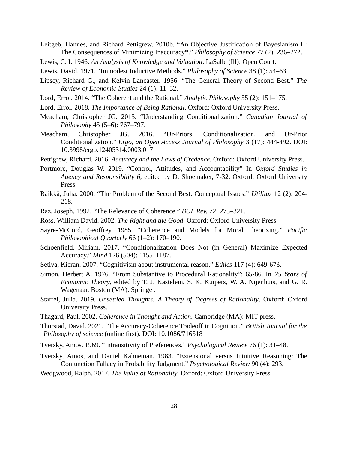- Leitgeb, Hannes, and Richard Pettigrew. 2010b. "An Objective Justification of Bayesianism II: The Consequences of Minimizing Inaccuracy\*." *Philosophy of Science* 77 (2): 236–272.
- Lewis, C. I. 1946. *An Analysis of Knowledge and Valuation*. LaSalle (Ill): Open Court.
- Lewis, David. 1971. "Immodest Inductive Methods." *Philosophy of Science* 38 (1): 54–63.
- Lipsey, Richard G., and Kelvin Lancaster. 1956. "The General Theory of Second Best." *The Review of Economic Studies* 24 (1): 11–32.
- Lord, Errol. 2014. "The Coherent and the Rational." *Analytic Philosophy* 55 (2): 151–175.
- Lord, Errol. 2018. *The Importance of Being Rational*. Oxford: Oxford University Press.
- Meacham, Christopher JG. 2015. "Understanding Conditionalization." *Canadian Journal of Philosophy* 45 (5–6): 767–797.
- Meacham, Christopher JG. 2016. "Ur-Priors, Conditionalization, and Ur-Prior Conditionalization." *Ergo, an Open Access Journal of Philosophy* 3 (17): 444-492. DOI: 10.3998/ergo.12405314.0003.017
- Pettigrew, Richard. 2016. *Accuracy and the Laws of Credence*. Oxford: Oxford University Press.
- Portmore, Douglas W. 2019. "Control, Attitudes, and Accountability" In *Oxford Studies in Agency and Responsibility 6*, edited by D. Shoemaker, 7-32. Oxford: Oxford University Press
- Räikkä, Juha. 2000. "The Problem of the Second Best: Conceptual Issues." *Utilitas* 12 (2): 204- 218.
- Raz, Joseph. 1992. "The Relevance of Coherence." *BUL Rev.* 72: 273–321.
- Ross, William David. 2002. *The Right and the Good*. Oxford: Oxford University Press.
- Sayre-McCord, Geoffrey. 1985. "Coherence and Models for Moral Theorizing." *Pacific Philosophical Quarterly* 66 (1–2): 170–190.
- Schoenfield, Miriam. 2017. "Conditionalization Does Not (in General) Maximize Expected Accuracy." *Mind* 126 (504): 1155–1187.
- Setiya, Kieran. 2007. "Cognitivism about instrumental reason." *Ethics* 117 (4): 649-673.
- Simon, Herbert A. 1976. "From Substantive to Procedural Rationality": 65-86. In *25 Years of Economic Theory*, edited by T. J. Kastelein, S. K. Kuipers, W. A. Nijenhuis, and G. R. Wagenaar. Boston (MA): Springer.
- Staffel, Julia. 2019. *Unsettled Thoughts: A Theory of Degrees of Rationality*. Oxford: Oxford University Press.
- Thagard, Paul. 2002. *Coherence in Thought and Action*. Cambridge (MA): MIT press.

Thorstad, David. 2021. "The Accuracy-Coherence Tradeoff in Cognition." *British Journal for the Philosophy of science* (online first). DOI: 10.1086/716518

- Tversky, Amos. 1969. "Intransitivity of Preferences." *Psychological Review* 76 (1): 31–48.
- Tversky, Amos, and Daniel Kahneman. 1983. "Extensional versus Intuitive Reasoning: The Conjunction Fallacy in Probability Judgment." *Psychological Review* 90 (4): 293.
- Wedgwood, Ralph. 2017. *The Value of Rationality*. Oxford: Oxford University Press.